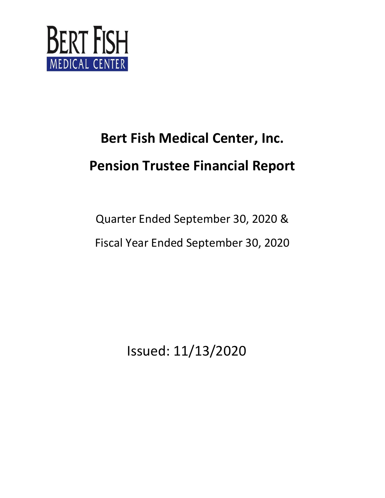

Quarter Ended September 30, 2020 & Fiscal Year Ended September 30, 2020

Issued: 11/13/2020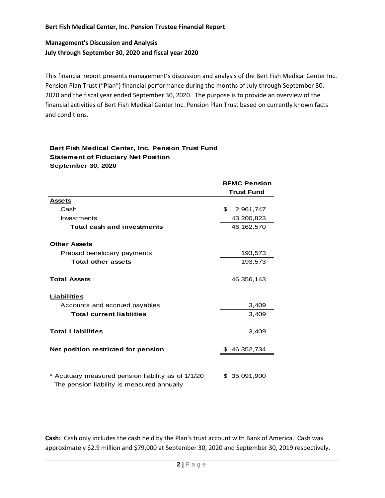# **Management's Discussion and Analysis July through September 30, 2020 and fiscal year 2020**

This financial report presents management's discussion and analysis of the Bert Fish Medical Center Inc. Pension Plan Trust ("Plan") financial performance during the months of July through September 30, 2020 and the fiscal year ended September 30, 2020. The purpose is to provide an overview of the financial activities of Bert Fish Medical Center Inc. Pension Plan Trust based on currently known facts and conditions.

#### **Bert Fish Medical Center, Inc. Pension Trust Fund Statement of Fiduciary Net Position September 30, 2020**

|                                                                                                  | <b>BFMC Pension</b> |  |  |
|--------------------------------------------------------------------------------------------------|---------------------|--|--|
|                                                                                                  | <b>Trust Fund</b>   |  |  |
| <b>Assets</b>                                                                                    |                     |  |  |
| Cash                                                                                             | \$<br>2,961,747     |  |  |
| Investments                                                                                      | 43,200,823          |  |  |
| <b>Total cash and investments</b>                                                                | 46, 162, 570        |  |  |
| <b>Other Assets</b>                                                                              |                     |  |  |
| Prepaid beneficiary payments                                                                     | 193,573             |  |  |
| <b>Total other assets</b>                                                                        | 193,573             |  |  |
| <b>Total Assets</b>                                                                              | 46,356,143          |  |  |
| <b>Liabilities</b>                                                                               |                     |  |  |
| Accounts and accrued payables                                                                    | 3,409               |  |  |
| <b>Total current liabiities</b>                                                                  | 3,409               |  |  |
| <b>Total Liabilities</b>                                                                         | 3,409               |  |  |
| Net position restricted for pension                                                              | \$46,352,734        |  |  |
|                                                                                                  |                     |  |  |
| * Acutuary measured pension liability as of 1/1/20<br>The pension liability is measured annually | 35,091,900<br>\$.   |  |  |

**Cash:** Cash only includes the cash held by the Plan's trust account with Bank of America. Cash was approximately \$2.9 million and \$79,000 at September 30, 2020 and September 30, 2019 respectively.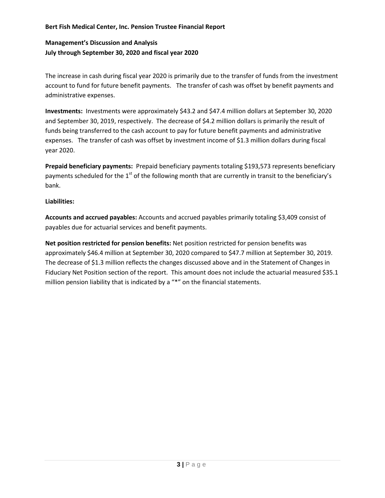# **Management's Discussion and Analysis July through September 30, 2020 and fiscal year 2020**

The increase in cash during fiscal year 2020 is primarily due to the transfer of funds from the investment account to fund for future benefit payments. The transfer of cash was offset by benefit payments and administrative expenses.

**Investments:** Investments were approximately \$43.2 and \$47.4 million dollars at September 30, 2020 and September 30, 2019, respectively. The decrease of \$4.2 million dollars is primarily the result of funds being transferred to the cash account to pay for future benefit payments and administrative expenses. The transfer of cash was offset by investment income of \$1.3 million dollars during fiscal year 2020.

**Prepaid beneficiary payments:** Prepaid beneficiary payments totaling \$193,573 represents beneficiary payments scheduled for the  $1<sup>st</sup>$  of the following month that are currently in transit to the beneficiary's bank.

### **Liabilities:**

**Accounts and accrued payables:** Accounts and accrued payables primarily totaling \$3,409 consist of payables due for actuarial services and benefit payments.

**Net position restricted for pension benefits:** Net position restricted for pension benefits was approximately \$46.4 million at September 30, 2020 compared to \$47.7 million at September 30, 2019. The decrease of \$1.3 million reflects the changes discussed above and in the Statement of Changes in Fiduciary Net Position section of the report. This amount does not include the actuarial measured \$35.1 million pension liability that is indicated by a "\*" on the financial statements.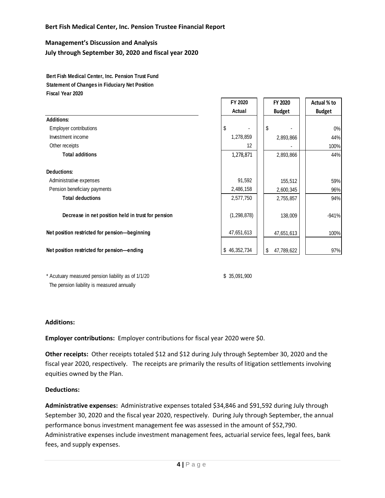# **Management's Discussion and Analysis July through September 30, 2020 and fiscal year 2020**

**Bert Fish Medical Center, Inc. Pension Trust Fund Statement of Changes in Fiduciary Net Position Fiscal Year 2020**

|                                                    | FY 2020       | FY 2020          | Actual % to   |
|----------------------------------------------------|---------------|------------------|---------------|
|                                                    | Actual        | <b>Budget</b>    | <b>Budget</b> |
| <b>Additions:</b>                                  |               |                  |               |
| <b>Employer contributions</b>                      | \$            | \$               | $0\%$         |
| Investment income                                  | 1,278,859     | 2,893,866        | 44%           |
| Other receipts                                     | 12            |                  | 100%          |
| <b>Total additions</b>                             | 1,278,871     | 2,893,866        | 44%           |
| <b>Deductions:</b>                                 |               |                  |               |
| Administrative expenses                            | 91,592        | 155,512          | 59%           |
| Pension beneficiary payments                       | 2,486,158     | 2,600,345        | 96%           |
| <b>Total deductions</b>                            | 2,577,750     | 2,755,857        | 94%           |
| Decrease in net position held in trust for pension | (1, 298, 878) | 138,009          | $-941%$       |
| Net position restricted for pension-beginning      | 47,651,613    | 47,651,613       | 100%          |
| Net position restricted for pension-ending         | \$46,352,734  | \$<br>47,789,622 | 97%           |
|                                                    |               |                  |               |

\* Acutuary measured pension liability as of 1/1/20 \$ 35,091,900 The pension liability is measured annually

п п

7. C

#### **Additions:**

**Employer contributions:** Employer contributions for fiscal year 2020 were \$0.

**Other receipts:** Other receipts totaled \$12 and \$12 during July through September 30, 2020 and the fiscal year 2020, respectively. The receipts are primarily the results of litigation settlements involving equities owned by the Plan.

#### **Deductions:**

**Administrative expenses:** Administrative expenses totaled \$34,846 and \$91,592 during July through September 30, 2020 and the fiscal year 2020, respectively. During July through September, the annual performance bonus investment management fee was assessed in the amount of \$52,790. Administrative expenses include investment management fees, actuarial service fees, legal fees, bank fees, and supply expenses.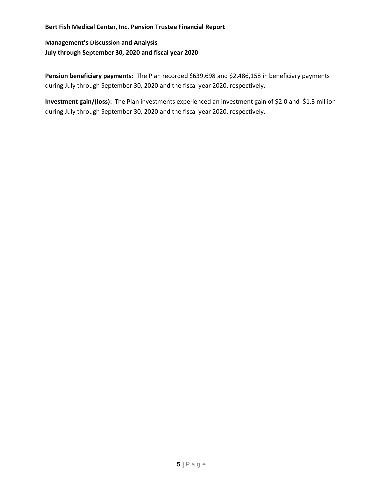**Management's Discussion and Analysis July through September 30, 2020 and fiscal year 2020**

Pension beneficiary payments: The Plan recorded \$639,698 and \$2,486,158 in beneficiary payments during July through September 30, 2020 and the fiscal year 2020, respectively.

**Investment gain/(loss):** The Plan investments experienced an investment gain of \$2.0 and \$1.3 million during July through September 30, 2020 and the fiscal year 2020, respectively.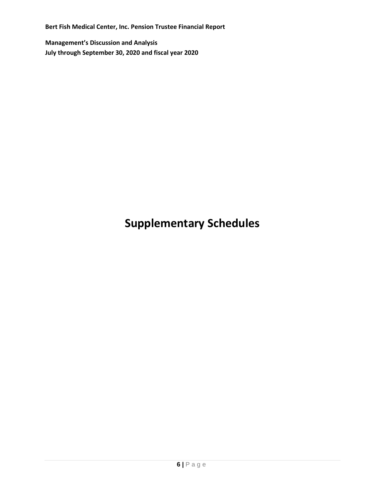**Management's Discussion and Analysis July through September 30, 2020 and fiscal year 2020**

# **Supplementary Schedules**